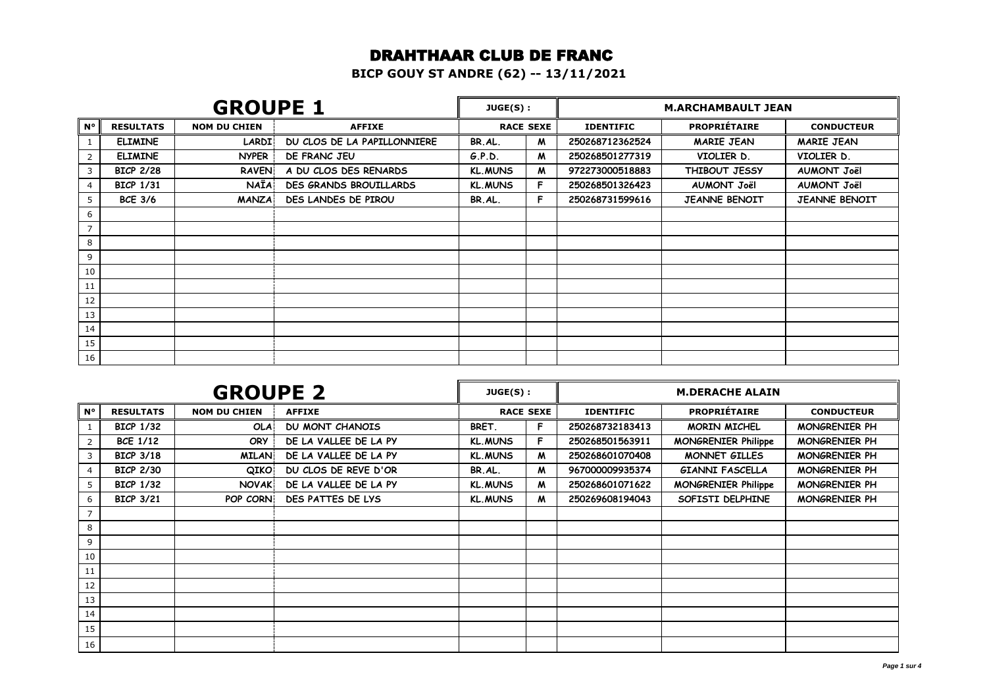#### DRAHTHAAR CLUB DE FRANC

**BICP GOUY ST ANDRE (62) -- 13/11/2021**

|                | <b>GROUPE 1</b>  |                     |                               | JUGE(S):       |                  | <b>M.ARCHAMBAULT JEAN</b> |                      |                      |
|----------------|------------------|---------------------|-------------------------------|----------------|------------------|---------------------------|----------------------|----------------------|
| $N^{\circ}$    | <b>RESULTATS</b> | <b>NOM DU CHIEN</b> | <b>AFFIXE</b>                 |                | <b>RACE SEXE</b> | <b>IDENTIFIC</b>          | <b>PROPRIÉTAIRE</b>  | <b>CONDUCTEUR</b>    |
|                | <b>ELIMINE</b>   | <b>LARDI!</b>       | DU CLOS DE LA PAPILLONNIERE   | BR.AL.         | M                | 250268712362524           | <b>MARIE JEAN</b>    | <b>MARIE JEAN</b>    |
| 2              | <b>ELIMINE</b>   | <b>NYPER</b>        | DE FRANC JEU                  | G.P.D.         | M                | 250268501277319           | VIOLIER D.           | VIOLIER D.           |
| 3              | <b>BICP 2/28</b> | <b>RAVEN</b>        | A DU CLOS DES RENARDS         | <b>KL.MUNS</b> | $\boldsymbol{M}$ | 972273000518883           | THIBOUT JESSY        | <b>AUMONT Joël</b>   |
| 4              | <b>BICP 1/31</b> | <b>NAÏA</b>         | <b>DES GRANDS BROUILLARDS</b> | <b>KL.MUNS</b> | F.               | 250268501326423           | <b>AUMONT Joël</b>   | <b>AUMONT Joël</b>   |
| 5              | <b>BCE 3/6</b>   | <b>MANZA</b>        | DES LANDES DE PIROU           | BR.AL.         | F.               | 250268731599616           | <b>JEANNE BENOIT</b> | <b>JEANNE BENOIT</b> |
| 6              |                  |                     |                               |                |                  |                           |                      |                      |
| $\overline{7}$ |                  |                     |                               |                |                  |                           |                      |                      |
| 8              |                  |                     |                               |                |                  |                           |                      |                      |
| 9              |                  |                     |                               |                |                  |                           |                      |                      |
| 10             |                  |                     |                               |                |                  |                           |                      |                      |
| 11             |                  |                     |                               |                |                  |                           |                      |                      |
| 12             |                  |                     |                               |                |                  |                           |                      |                      |
| 13             |                  |                     |                               |                |                  |                           |                      |                      |
| 14             |                  |                     |                               |                |                  |                           |                      |                      |
| 15             |                  |                     |                               |                |                  |                           |                      |                      |
| 16             |                  |                     |                               |                |                  |                           |                      |                      |

|                | <b>GROUPE 2</b>  |                     |                        | JUGE(S):       |                  | <b>M.DERACHE ALAIN</b> |                            |                      |
|----------------|------------------|---------------------|------------------------|----------------|------------------|------------------------|----------------------------|----------------------|
| $N^{\circ}$    | <b>RESULTATS</b> | <b>NOM DU CHIEN</b> | <b>AFFIXE</b>          |                | <b>RACE SEXE</b> | <b>IDENTIFIC</b>       | <b>PROPRIÉTAIRE</b>        | <b>CONDUCTEUR</b>    |
|                | <b>BICP 1/32</b> | <b>OLA</b>          | <b>DU MONT CHANOIS</b> | BRET.          | F                | 250268732183413        | MORIN MICHEL               | MONGRENIER PH        |
| 2              | <b>BCE 1/12</b>  | <b>ORY</b>          | DE LA VALLEE DE LA PY  | <b>KL.MUNS</b> | F                | 250268501563911        | <b>MONGRENIER Philippe</b> | MONGRENIER PH        |
| 3              | <b>BICP 3/18</b> | <b>MILAN</b>        | DE LA VALLEE DE LA PY  | <b>KL.MUNS</b> | M                | 250268601070408        | MONNET GILLES              | MONGRENIER PH        |
| $\overline{4}$ | <b>BICP 2/30</b> | <b>QIKO</b>         | DU CLOS DE REVE D'OR   | BR.AL.         | M                | 967000009935374        | <b>GIANNI FASCELLA</b>     | <b>MONGRENIER PH</b> |
| 5              | <b>BICP 1/32</b> | <b>NOVAK</b>        | DE LA VALLEE DE LA PY  | <b>KL.MUNS</b> | M                | 250268601071622        | <b>MONGRENIER Philippe</b> | MONGRENIER PH        |
| 6              | <b>BICP 3/21</b> | POP CORN            | DES PATTES DE LYS      | <b>KL.MUNS</b> | M                | 250269608194043        | SOFISTI DELPHINE           | <b>MONGRENIER PH</b> |
| $\overline{7}$ |                  |                     |                        |                |                  |                        |                            |                      |
| 8              |                  |                     |                        |                |                  |                        |                            |                      |
| 9              |                  |                     |                        |                |                  |                        |                            |                      |
| 10             |                  |                     |                        |                |                  |                        |                            |                      |
| 11             |                  |                     |                        |                |                  |                        |                            |                      |
| 12             |                  |                     |                        |                |                  |                        |                            |                      |
| 13             |                  |                     |                        |                |                  |                        |                            |                      |
| 14             |                  |                     |                        |                |                  |                        |                            |                      |
| 15             |                  |                     |                        |                |                  |                        |                            |                      |
| 16             |                  |                     |                        |                |                  |                        |                            |                      |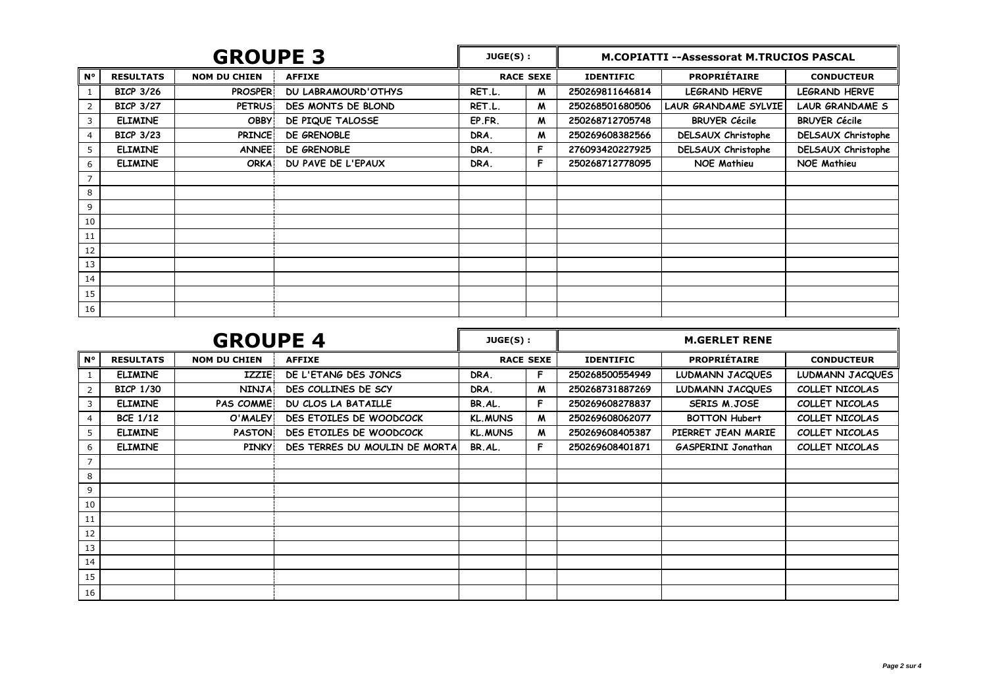| <b>GROUPE 3</b> |                  |                     | $JUGE(S)$ :                |        | <b>M.COPIATTI --Assessorat M.TRUCIOS PASCAL</b> |                  |                      |                           |
|-----------------|------------------|---------------------|----------------------------|--------|-------------------------------------------------|------------------|----------------------|---------------------------|
| $N^{\circ}$     | <b>RESULTATS</b> | <b>NOM DU CHIEN</b> | <b>AFFIXE</b>              |        | <b>RACE SEXE</b>                                | <b>IDENTIFIC</b> | <b>PROPRIÉTAIRE</b>  | <b>CONDUCTEUR</b>         |
|                 | <b>BICP 3/26</b> | <b>PROSPER</b>      | <b>DU LABRAMOURD'OTHYS</b> | RET.L. | M                                               | 250269811646814  | LEGRAND HERVE        | <b>LEGRAND HERVE</b>      |
| 2               | <b>BICP 3/27</b> | <b>PETRUS</b>       | DES MONTS DE BLOND         | RET.L. | M                                               | 250268501680506  | LAUR GRANDAME SYLVIE | <b>LAUR GRANDAME S</b>    |
| 3               | <b>ELIMINE</b>   | <b>OBBY</b>         | DE PIQUE TALOSSE           | EP.FR. | M                                               | 250268712705748  | <b>BRUYER Cécile</b> | <b>BRUYER Cécile</b>      |
| 4               | <b>BICP 3/23</b> | <b>PRINCE</b>       | DE GRENOBLE                | DRA.   | M                                               | 250269608382566  | DELSAUX Christophe   | <b>DELSAUX Christophe</b> |
| 5               | <b>ELIMINE</b>   | <b>ANNEE</b>        | DE GRENOBLE                | DRA.   | F                                               | 276093420227925  | DELSAUX Christophe   | <b>DELSAUX Christophe</b> |
| 6               | <b>ELIMINE</b>   | <b>ORKA</b>         | DU PAVE DE L'EPAUX         | DRA.   | F.                                              | 250268712778095  | <b>NOE Mathieu</b>   | <b>NOE Mathieu</b>        |
|                 |                  |                     |                            |        |                                                 |                  |                      |                           |
| 8               |                  |                     |                            |        |                                                 |                  |                      |                           |
| 9               |                  |                     |                            |        |                                                 |                  |                      |                           |
| 10              |                  |                     |                            |        |                                                 |                  |                      |                           |
| 11              |                  |                     |                            |        |                                                 |                  |                      |                           |
| 12              |                  |                     |                            |        |                                                 |                  |                      |                           |
| 13              |                  |                     |                            |        |                                                 |                  |                      |                           |
| 14              |                  |                     |                            |        |                                                 |                  |                      |                           |
| 15              |                  |                     |                            |        |                                                 |                  |                      |                           |
| 16              |                  |                     |                            |        |                                                 |                  |                      |                           |

| <b>GROUPE 4</b> |                  |                     | JUGE(S):                      |                | <b>M.GERLET RENE</b> |                  |                           |                   |
|-----------------|------------------|---------------------|-------------------------------|----------------|----------------------|------------------|---------------------------|-------------------|
| $N^{\circ}$     | <b>RESULTATS</b> | <b>NOM DU CHIEN</b> | <b>AFFIXE</b>                 |                | <b>RACE SEXE</b>     | <b>IDENTIFIC</b> | <b>PROPRIÉTAIRE</b>       | <b>CONDUCTEUR</b> |
|                 | <b>ELIMINE</b>   | <b>IZZIE</b>        | DE L'ETANG DES JONCS          | DRA.           | F.                   | 250268500554949  | LUDMANN JACQUES           | LUDMANN JACQUES   |
| 2               | <b>BICP 1/30</b> | <b>NINJA</b>        | DES COLLINES DE SCY           | DRA.           | M                    | 250268731887269  | LUDMANN JACQUES           | COLLET NICOLAS    |
| 3               | <b>ELIMINE</b>   | <b>PAS COMME</b>    | DU CLOS LA BATAILLE           | BR.AL.         | F.                   | 250269608278837  | <b>SERIS M.JOSE</b>       | COLLET NICOLAS    |
| 4               | <b>BCE 1/12</b>  | O'MALEY             | DES ETOILES DE WOODCOCK       | <b>KL.MUNS</b> | M                    | 250269608062077  | <b>BOTTON Hubert</b>      | COLLET NICOLAS    |
| 5               | <b>ELIMINE</b>   | <b>PASTON</b>       | DES ETOILES DE WOODCOCK       | <b>KL.MUNS</b> | M                    | 250269608405387  | PIERRET JEAN MARIE        | COLLET NICOLAS    |
| 6               | <b>ELIMINE</b>   | <b>PINKY</b>        | DES TERRES DU MOULIN DE MORTA | BR.AL.         | F.                   | 250269608401871  | <b>GASPERINI Jonathan</b> | COLLET NICOLAS    |
| 7               |                  |                     |                               |                |                      |                  |                           |                   |
| 8               |                  |                     |                               |                |                      |                  |                           |                   |
| 9               |                  |                     |                               |                |                      |                  |                           |                   |
| 10              |                  |                     |                               |                |                      |                  |                           |                   |
| 11              |                  |                     |                               |                |                      |                  |                           |                   |
| 12              |                  |                     |                               |                |                      |                  |                           |                   |
| 13              |                  |                     |                               |                |                      |                  |                           |                   |
| 14              |                  |                     |                               |                |                      |                  |                           |                   |
| 15              |                  |                     |                               |                |                      |                  |                           |                   |
| 16              |                  |                     |                               |                |                      |                  |                           |                   |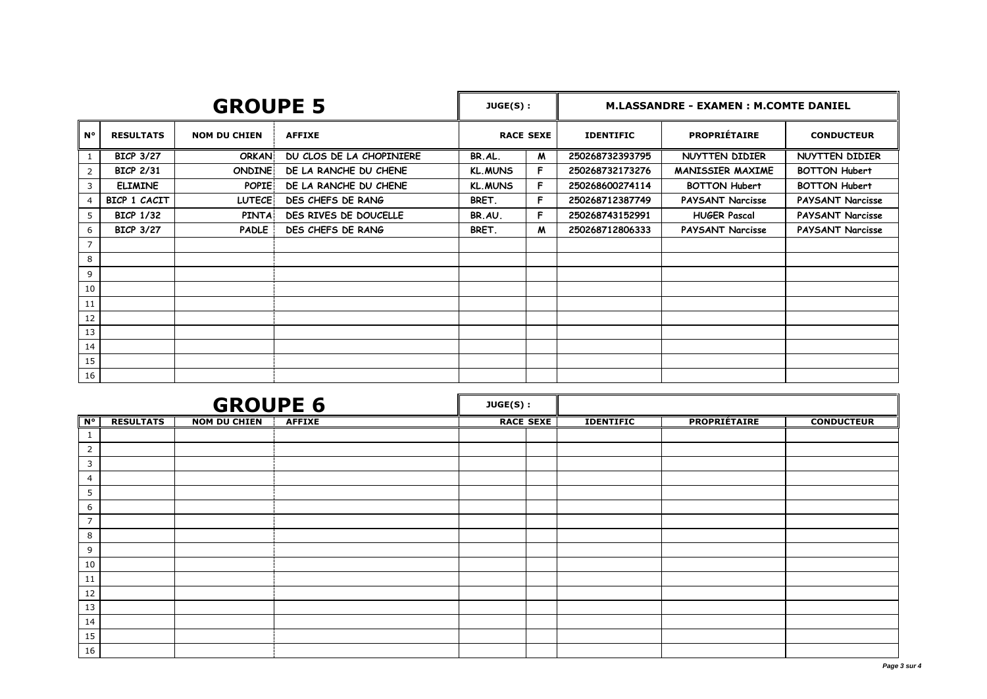|                | <b>GROUPE 5</b>  |                     |                          |                | JUGE(S):         | <b>M.LASSANDRE - EXAMEN : M.COMTE DANIEL</b> |                         |                         |
|----------------|------------------|---------------------|--------------------------|----------------|------------------|----------------------------------------------|-------------------------|-------------------------|
| $N^{\circ}$    | <b>RESULTATS</b> | <b>NOM DU CHIEN</b> | <b>AFFIXE</b>            |                | <b>RACE SEXE</b> | <b>IDENTIFIC</b>                             | <b>PROPRIÉTAIRE</b>     | <b>CONDUCTEUR</b>       |
| 1              | <b>BICP 3/27</b> | ORKAN               | DU CLOS DE LA CHOPINIERE | BR.AL.         | M                | 250268732393795                              | NUYTTEN DIDIER          | NUYTTEN DIDIER          |
| $\overline{2}$ | <b>BICP 2/31</b> | <b>ONDINE</b>       | DE LA RANCHE DU CHENE    | <b>KL.MUNS</b> | F                | 250268732173276                              | <b>MANISSIER MAXIME</b> | <b>BOTTON Hubert</b>    |
| 3              | <b>ELIMINE</b>   | <b>POPIE</b>        | DE LA RANCHE DU CHENE    | <b>KL.MUNS</b> | F                | 250268600274114                              | <b>BOTTON Hubert</b>    | <b>BOTTON Hubert</b>    |
|                | BICP 1 CACIT     | <b>LUTECE</b>       | DES CHEFS DE RANG        | BRET.          | F                | 250268712387749                              | <b>PAYSANT Narcisse</b> | <b>PAYSANT Narcisse</b> |
| 5              | <b>BICP 1/32</b> | <b>PINTA</b>        | DES RIVES DE DOUCELLE    | BR.AU.         | F                | 250268743152991                              | <b>HUGER Pascal</b>     | <b>PAYSANT Narcisse</b> |
| 6              | <b>BICP 3/27</b> | <b>PADLE</b>        | DES CHEFS DE RANG        | BRET.          | M                | 250268712806333                              | <b>PAYSANT Narcisse</b> | PAYSANT Narcisse        |
| $\overline{7}$ |                  |                     |                          |                |                  |                                              |                         |                         |
| 8              |                  |                     |                          |                |                  |                                              |                         |                         |
| 9              |                  |                     |                          |                |                  |                                              |                         |                         |
| 10             |                  |                     |                          |                |                  |                                              |                         |                         |
| 11             |                  |                     |                          |                |                  |                                              |                         |                         |
| 12             |                  |                     |                          |                |                  |                                              |                         |                         |
| 13             |                  |                     |                          |                |                  |                                              |                         |                         |
| 14             |                  |                     |                          |                |                  |                                              |                         |                         |
| 15             |                  |                     |                          |                |                  |                                              |                         |                         |
| 16             |                  |                     |                          |                |                  |                                              |                         |                         |

| <b>GROUPE 6</b> |                  |                     |               | JUGE(S): |                  |                  |                     |                   |
|-----------------|------------------|---------------------|---------------|----------|------------------|------------------|---------------------|-------------------|
| $N^{\circ}$     | <b>RESULTATS</b> | <b>NOM DU CHIEN</b> | <b>AFFIXE</b> |          | <b>RACE SEXE</b> | <b>IDENTIFIC</b> | <b>PROPRIÉTAIRE</b> | <b>CONDUCTEUR</b> |
| <b>T</b>        |                  |                     |               |          |                  |                  |                     |                   |
| $\overline{2}$  |                  |                     |               |          |                  |                  |                     |                   |
| $\overline{3}$  |                  |                     |               |          |                  |                  |                     |                   |
| 4               |                  |                     |               |          |                  |                  |                     |                   |
| 5               |                  |                     |               |          |                  |                  |                     |                   |
| 6               |                  |                     |               |          |                  |                  |                     |                   |
| $\overline{7}$  |                  |                     |               |          |                  |                  |                     |                   |
| 8               |                  |                     |               |          |                  |                  |                     |                   |
| 9               |                  |                     |               |          |                  |                  |                     |                   |
| 10              |                  |                     |               |          |                  |                  |                     |                   |
| 11              |                  |                     |               |          |                  |                  |                     |                   |
| 12              |                  |                     |               |          |                  |                  |                     |                   |
| 13              |                  |                     |               |          |                  |                  |                     |                   |
| 14              |                  |                     |               |          |                  |                  |                     |                   |
| 15              |                  |                     |               |          |                  |                  |                     |                   |
| 16              |                  |                     |               |          |                  |                  |                     |                   |